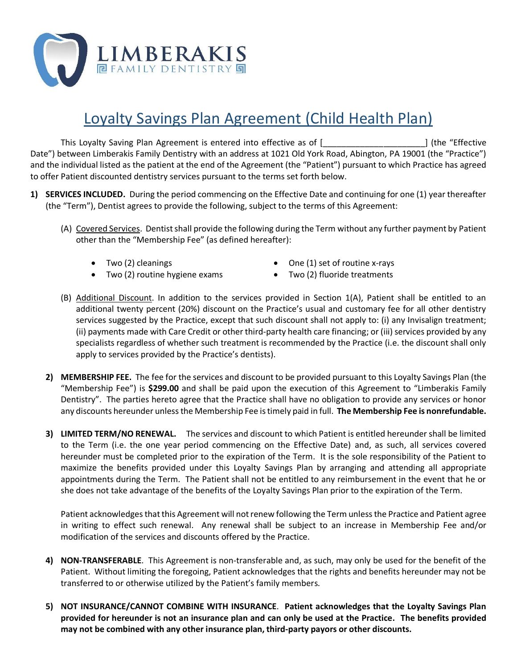

## Loyalty Savings Plan Agreement (Child Health Plan)

This Loyalty Saving Plan Agreement is entered into effective as of [\_\_\_\_\_\_\_\_\_\_\_\_\_\_\_\_\_\_\_\_\_\_] (the "Effective Date") between Limberakis Family Dentistry with an address at 1021 Old York Road, Abington, PA 19001 (the "Practice") and the individual listed as the patient at the end of the Agreement (the "Patient") pursuant to which Practice has agreed to offer Patient discounted dentistry services pursuant to the terms set forth below.

- **1) SERVICES INCLUDED.** During the period commencing on the Effective Date and continuing for one (1) year thereafter (the "Term"), Dentist agrees to provide the following, subject to the terms of this Agreement:
	- (A) Covered Services. Dentist shall provide the following during the Term without any further payment by Patient other than the "Membership Fee" (as defined hereafter):
		- Two (2) cleanings
- One (1) set of routine x-rays
- Two (2) routine hygiene exams
- Two (2) fluoride treatments
- (B) Additional Discount. In addition to the services provided in Section 1(A), Patient shall be entitled to an additional twenty percent (20%) discount on the Practice's usual and customary fee for all other dentistry services suggested by the Practice, except that such discount shall not apply to: (i) any Invisalign treatment; (ii) payments made with Care Credit or other third-party health care financing; or (iii) services provided by any specialists regardless of whether such treatment is recommended by the Practice (i.e. the discount shall only apply to services provided by the Practice's dentists).
- **2) MEMBERSHIP FEE.** The fee for the services and discount to be provided pursuant to this Loyalty Savings Plan (the "Membership Fee") is **\$299.00** and shall be paid upon the execution of this Agreement to "Limberakis Family Dentistry". The parties hereto agree that the Practice shall have no obligation to provide any services or honor any discounts hereunder unless the Membership Fee is timely paid in full. **The Membership Fee is nonrefundable.**
- **3) LIMITED TERM/NO RENEWAL.** The services and discount to which Patient is entitled hereunder shall be limited to the Term (i.e. the one year period commencing on the Effective Date) and, as such, all services covered hereunder must be completed prior to the expiration of the Term. It is the sole responsibility of the Patient to maximize the benefits provided under this Loyalty Savings Plan by arranging and attending all appropriate appointments during the Term. The Patient shall not be entitled to any reimbursement in the event that he or she does not take advantage of the benefits of the Loyalty Savings Plan prior to the expiration of the Term.

Patient acknowledges that this Agreement will not renew following the Term unless the Practice and Patient agree in writing to effect such renewal. Any renewal shall be subject to an increase in Membership Fee and/or modification of the services and discounts offered by the Practice.

- **4) NON-TRANSFERABLE**. This Agreement is non-transferable and, as such, may only be used for the benefit of the Patient. Without limiting the foregoing, Patient acknowledges that the rights and benefits hereunder may not be transferred to or otherwise utilized by the Patient's family members.
- **5) NOT INSURANCE/CANNOT COMBINE WITH INSURANCE**. **Patient acknowledges that the Loyalty Savings Plan provided for hereunder is not an insurance plan and can only be used at the Practice. The benefits provided may not be combined with any other insurance plan, third-party payors or other discounts.**